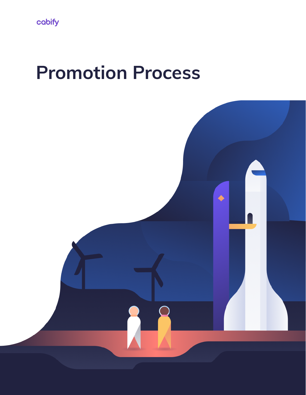# **Promotion Process**

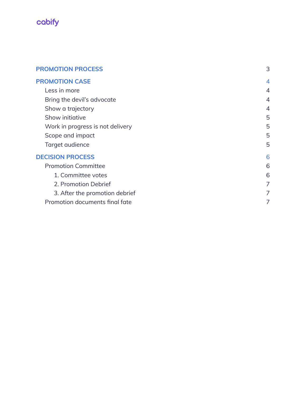

| <b>PROMOTION PROCESS</b>         |                |
|----------------------------------|----------------|
| <b>PROMOTION CASE</b>            | $\overline{4}$ |
| Less in more                     | 4              |
| Bring the devil's advocate       | 4              |
| Show a trajectory                | 4              |
| Show initiative                  | 5              |
| Work in progress is not delivery | 5              |
| Scope and impact                 | 5              |
| Target audience                  | 5              |
| <b>DECISION PROCESS</b>          | 6              |
| <b>Promotion Committee</b>       | 6              |
| 1. Committee votes               | 6              |
| 2. Promotion Debrief             | $\overline{7}$ |
| 3. After the promotion debrief   | 7              |
| Promotion documents final fate   |                |
|                                  |                |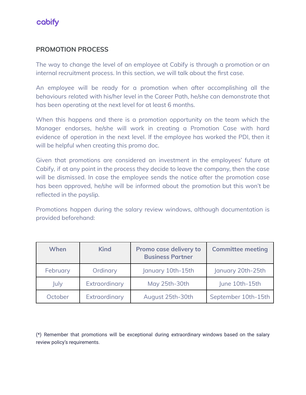

# <span id="page-2-0"></span>**PROMOTION PROCESS**

The way to change the level of an employee at Cabify is through a promotion or an internal recruitment process. In this section, we will talk about the first case.

An employee will be ready for a promotion when after accomplishing all the behaviours related with his/her level in the Career Path, he/she can demonstrate that has been operating at the next level for at least 6 months.

When this happens and there is a promotion opportunity on the team which the Manager endorses, he/she will work in creating a Promotion Case with hard evidence of operation in the next level. If the employee has worked the PDI, then it will be helpful when creating this promo doc.

Given that promotions are considered an investment in the employees' future at Cabify, if at any point in the process they decide to leave the company, then the case will be dismissed. In case the employee sends the notice after the promotion case has been approved, he/she will be informed about the promotion but this won't be reflected in the payslip.

Promotions happen during the salary review windows, although documentation is provided beforehand:

| When     | Kind          | Promo case delivery to<br><b>Business Partner</b> | <b>Committee meeting</b> |
|----------|---------------|---------------------------------------------------|--------------------------|
| February | Ordinary      | January 10th-15th                                 | January 20th-25th        |
| July     | Extraordinary | May 25th-30th                                     | June 10th-15th           |
| October  | Extraordinary | August 25th-30th                                  | September 10th-15th      |

(\*) Remember that promotions will be exceptional during extraordinary windows based on the salary review policy's requirements.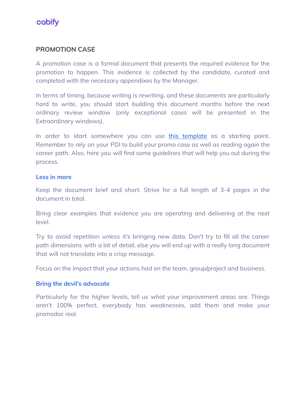

# <span id="page-3-0"></span>**PROMOTION CASE**

A promotion case is a formal document that presents the required evidence for the promotion to happen. This evidence is collected by the candidate, curated and completed with the necessary appendixes by the Manager.

In terms of timing, because *writing is rewriting,* and these documents are particularly hard to write, you should start building this document months before the next ordinary review window (only exceptional cases will be presented in the Extraordinary windows).

In order to start somewhere you can use this [template](https://docs.google.com/document/d/1ZoioyqYdW5jC_sJtnOTQ4a_3qGDxdssRfx4Ag_e7PFQ/edit#heading=h.oqp22jl20ier) as a starting point. Remember to rely on your PDI to build your promo case as well as reading again the career path. Also, here you will find some guidelines that will help you out during the process.

#### <span id="page-3-1"></span>**Less in more**

Keep the document brief and short. Strive for a full length of 3-4 pages in the document in total.

Bring clear examples that evidence you are operating and delivering at the next level.

Try to avoid repetition unless it's bringing new data. Don't try to fill all the career path dimensions with a lot of detail, else you will end up with a really long document that will not translate into a crisp message.

Focus on the impact that your actions had on the team, group/project and business.

#### <span id="page-3-2"></span>**Bring the devil's advocate**

Particularly for the higher levels, tell us what your improvement areas are. Things aren't 100% perfect, everybody has weaknesses, add them and make your promodoc real.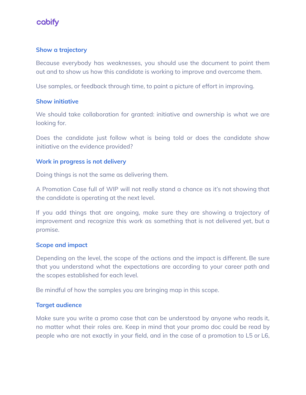

#### <span id="page-4-0"></span>**Show a trajectory**

Because everybody has weaknesses, you should use the document to point them out and to show us how this candidate is working to improve and overcome them.

Use samples, or feedback through time, to paint a picture of effort in improving.

#### <span id="page-4-1"></span>**Show initiative**

We should take collaboration for granted: initiative and ownership is what we are looking for.

Does the candidate just follow what is being told or does the candidate show initiative on the evidence provided?

#### <span id="page-4-2"></span>**Work in progress is not delivery**

Doing things is not the same as delivering them.

A Promotion Case full of WIP will not really stand a chance as it's not showing that the candidate is operating at the next level.

If you add things that are ongoing, make sure they are showing a trajectory of improvement and recognize this work as something that is not delivered yet, but a promise.

#### <span id="page-4-3"></span>**Scope and impact**

Depending on the level, the scope of the actions and the impact is different. Be sure that you understand what the expectations are according to your career path and the scopes [established](https://handbook.cabify.tech/you-at-cabify/career-paths/) for each level.

Be mindful of how the samples you are bringing map in this scope.

#### <span id="page-4-4"></span>**Target audience**

Make sure you write a promo case that can be understood by anyone who reads it, no matter what their roles are. Keep in mind that your promo doc could be read by people who are not exactly in your field, and in the case of a promotion to L5 or L6,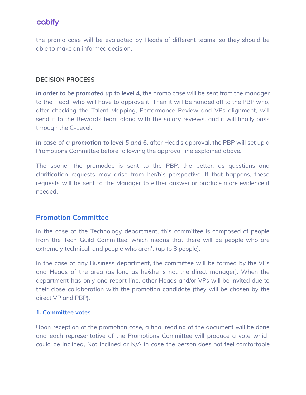# cobify

the promo case will be evaluated by Heads of different teams, so they should be able to make an informed decision.

## <span id="page-5-0"></span>**DECISION PROCESS**

*In order to be promoted up to level 4*, the promo case will be sent from the manager to the Head, who will have to approve it. Then it will be handed off to the PBP who, after checking the Talent Mapping, Performance Review and VPs alignment, will send it to the Rewards team along with the salary reviews, and it will finally pass through the C-Level.

*In case of a promotion to level 5 and 6*, after Head's approval, the PBP will set up a Promotions Committee before following the approval line explained above.

The sooner the promodoc is sent to the PBP, the better, as questions and clarification requests may arise from her/his perspective. If that happens, these requests will be sent to the Manager to either answer or produce more evidence if needed.

# **Promotion Committee**

In the case of the Technology department, this committee is composed of people from the Tech Guild [Committee,](https://handbook.cabify.tech/you-at-cabify/top-level-management/#guild-representative-responsibilities) which means that there will be people who are extremely technical, and people who aren't (up to 8 people).

In the case of any Business department, the committee will be formed by the VPs and Heads of the area (as long as he/she is not the direct manager). When the department has only one report line, other Heads and/or VPs will be invited due to their close collaboration with the promotion candidate (they will be chosen by the direct VP and PBP).

## <span id="page-5-1"></span>**1. Committee votes**

Upon reception of the promotion case, a final reading of the document will be done and each representative of the Promotions Committee will produce a vote which could be Inclined, Not Inclined or N/A in case the person does not feel comfortable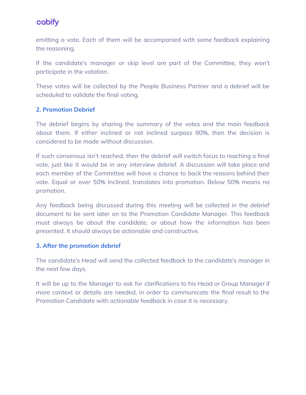# cobify

emitting a vote. Each of them will be accompanied with some feedback explaining the reasoning.

If the candidate's manager or skip level are part of the Committee, they won't participate in the votation.

These votes will be collected by the People Business Partner and a debrief will be scheduled to validate the final voting.

## <span id="page-6-0"></span>**2. Promotion Debrief**

The debrief begins by sharing the summary of the votes and the main feedback about them. If either inclined or not inclined surpass 80%, then the decision is considered to be made without discussion.

If such consensus isn't reached, then the debrief will switch focus to reaching a final vote, just like it would be in any interview debrief. A discussion will take place and each member of the Committee will have a chance to back the reasons behind their vote. Equal or over 50% Inclined, translates into promotion. Below 50% means no promotion.

Any feedback being discussed during this meeting will be collected in the debrief document to be sent later on to the Promotion Candidate Manager. This feedback must always be about the candidate, or about how the information has been presented. It should always be actionable and constructive.

## <span id="page-6-1"></span>**3. After the promotion debrief**

The candidate's Head will send the collected feedback to the candidate's manager in the next few days.

<span id="page-6-2"></span>It will be up to the Manager to ask for clarifications to his Head or Group Manager if more context or details are needed, in order to communicate the final result to the Promotion Candidate with actionable feedback in case it is necessary.